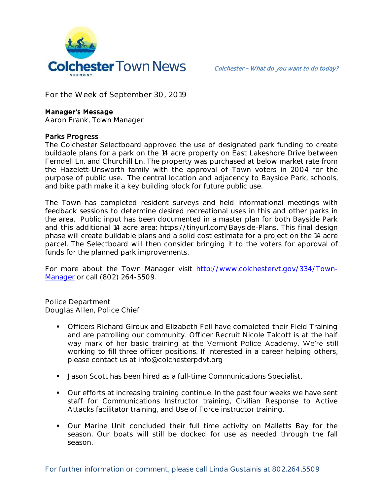

**For the Week of September 30, 2019**

## **Manager's Message**

**Aaron Frank, Town Manager**

## Parks Progress

The Colchester Selectboard approved the use of designated park funding to create buildable plans for a park on the 14 acre property on East Lakeshore Drive between Ferndell Ln. and Churchill Ln. The property was purchased at below market rate from the Hazelett-Unsworth family with the approval of Town voters in 2004 for the purpose of public use. The central location and adjacency to Bayside Park, schools, and bike path make it a key building block for future public use.

The Town has completed resident surveys and held informational meetings with feedback sessions to determine desired recreational uses in this and other parks in the area. Public input has been documented in a master plan for both Bayside Park and this additional 14 acre area: https://tinyurl.com/Bayside-Plans. This final design phase will create buildable plans and a solid cost estimate for a project on the 14 acre parcel. The Selectboard will then consider bringing it to the voters for approval of funds for the planned park improvements.

For more about the Town Manager visit [http://www.colchestervt.gov/334/Town-](http://www.colchestervt.gov/334/Town-Manager)[Manager](http://www.colchestervt.gov/334/Town-Manager) or call (802) 264-5509.

**Police Department Douglas Allen, Police Chief** 

- Officers Richard Giroux and Elizabeth Fell have completed their Field Training and are patrolling our community. Officer Recruit Nicole Talcott is at the half way mark of her basic training at the Vermont Police Academy. We're still working to fill three officer positions. If interested in a career helping others, please contact us at info@colchesterpdvt.org
- **Jason Scott has been hired as a full-time Communications Specialist.**
- **Our efforts at increasing training continue. In the past four weeks we have sent** staff for Communications Instructor training, Civilian Response to Active Attacks facilitator training, and Use of Force instructor training.
- Our Marine Unit concluded their full time activity on Malletts Bay for the season. Our boats will still be docked for use as needed through the fall season.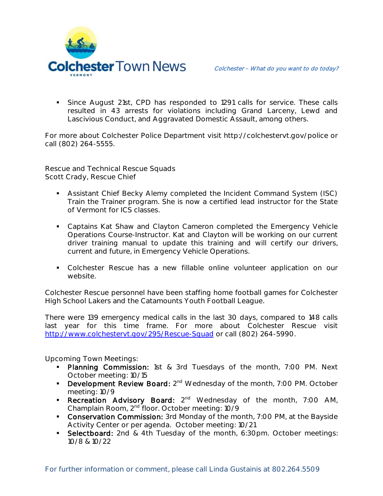

 Since August 21st, CPD has responded to 1291 calls for service. These calls resulted in 43 arrests for violations including Grand Larceny, Lewd and Lascivious Conduct, and Aggravated Domestic Assault, among others.

For more about Colchester Police Department visit http://colchestervt.gov/police or call (802) 264-5555.

**Rescue and Technical Rescue Squads Scott Crady, Rescue Chief**

- Assistant Chief Becky Alemy completed the Incident Command System (ISC) Train the Trainer program. She is now a certified lead instructor for the State of Vermont for ICS classes.
- **Captains Kat Shaw and Clayton Cameron completed the Emergency Vehicle** Operations Course-Instructor. Kat and Clayton will be working on our current driver training manual to update this training and will certify our drivers, current and future, in Emergency Vehicle Operations.
- Colchester Rescue has a new fillable online volunteer application on our website.

Colchester Rescue personnel have been staffing home football games for Colchester High School Lakers and the Catamounts Youth Football League.

There were 139 emergency medical calls in the last 30 days, compared to 148 calls last year for this time frame. For more about Colchester Rescue visit <http://www.colchestervt.gov/295/Rescue-Squad> or call (802) 264-5990.

**Upcoming Town Meetings:** 

- **Planning Commission:** 1st & 3rd Tuesdays of the month, 7:00 PM. Next October meeting: 10/15
- **Development Review Board:**  $2^{nd}$  Wednesday of the month, 7:00 PM. October meeting: 10/9
- **Recreation Advisory Board:**  $2^{nd}$  Wednesday of the month, 7:00 AM, Champlain Room, 2nd floor. October meeting: 10/9
- **Conservation Commission:** 3rd Monday of the month, 7:00 PM, at the Bayside Activity Center or per agenda. October meeting: 10/21
- **Selectboard:** 2nd & 4th Tuesday of the month, 6:30pm. October meetings: 10/8 & 10/22